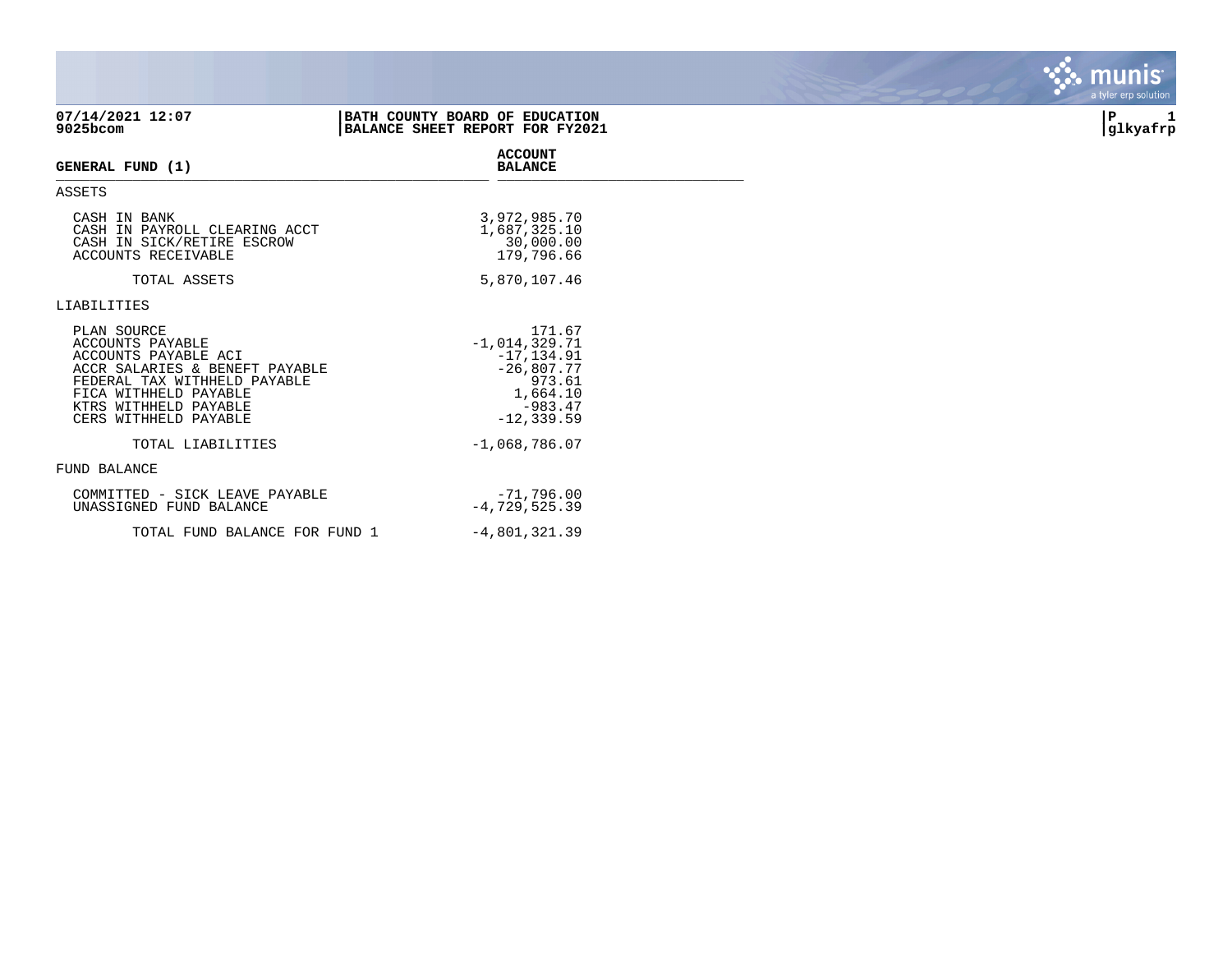| 07/14/2021 12:07<br>9025bcom                                                                                                                                                                         | BATH COUNTY BOARD OF EDUCATION<br>BALANCE SHEET REPORT FOR FY2021                                              | P<br>glkyafrp |
|------------------------------------------------------------------------------------------------------------------------------------------------------------------------------------------------------|----------------------------------------------------------------------------------------------------------------|---------------|
| GENERAL FUND (1)                                                                                                                                                                                     | <b>ACCOUNT</b><br><b>BALANCE</b>                                                                               |               |
| ASSETS                                                                                                                                                                                               |                                                                                                                |               |
| CASH IN BANK<br>CASH IN PAYROLL CLEARING ACCT<br>CASH IN SICK/RETIRE ESCROW<br>ACCOUNTS RECEIVABLE                                                                                                   | 3,972,985.70<br>1,687,325.10<br>30,000.00<br>179,796.66                                                        |               |
| TOTAL ASSETS                                                                                                                                                                                         | 5,870,107.46                                                                                                   |               |
| LIABILITIES                                                                                                                                                                                          |                                                                                                                |               |
| PLAN SOURCE<br>ACCOUNTS PAYABLE<br>ACCOUNTS PAYABLE ACI<br>ACCR SALARIES & BENEFT PAYABLE<br>FEDERAL TAX WITHHELD PAYABLE<br>FICA WITHHELD PAYABLE<br>KTRS WITHHELD PAYABLE<br>CERS WITHHELD PAYABLE | 171.67<br>$-1,014,329.71$<br>$-17, 134.91$<br>$-26,807.77$<br>973.61<br>1,664.10<br>$-983.47$<br>$-12, 339.59$ |               |
| TOTAL LIABILITIES                                                                                                                                                                                    | $-1,068,786.07$                                                                                                |               |
| <b>FUND BALANCE</b>                                                                                                                                                                                  |                                                                                                                |               |
| COMMITTED - SICK LEAVE PAYABLE<br>UNASSIGNED FUND BALANCE                                                                                                                                            | $-71,796.00$<br>$-4,729,525.39$                                                                                |               |
| TOTAL FUND BALANCE FOR FUND 1                                                                                                                                                                        | $-4,801,321.39$                                                                                                |               |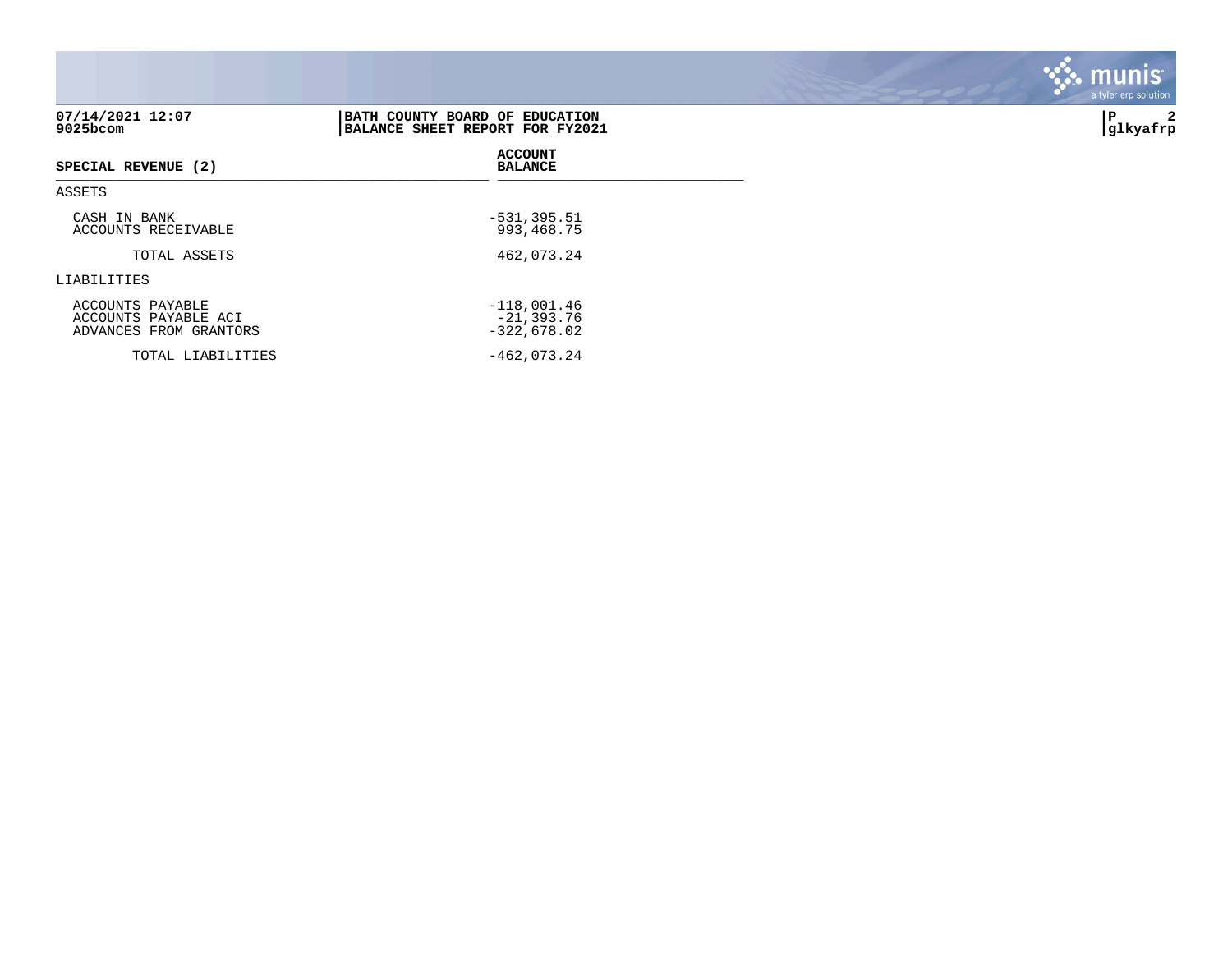| 07/14/2021 12:07<br>$9025$ bcom                                    | BATH COUNTY BOARD OF EDUCATION<br>BALANCE SHEET REPORT FOR FY2021 | 2<br>∣P<br> glkyafrp |
|--------------------------------------------------------------------|-------------------------------------------------------------------|----------------------|
| SPECIAL REVENUE (2)                                                | <b>ACCOUNT</b><br><b>BALANCE</b>                                  |                      |
| ASSETS                                                             |                                                                   |                      |
| CASH IN BANK<br>ACCOUNTS RECEIVABLE                                | $-531, 395.51$<br>993,468.75                                      |                      |
| TOTAL ASSETS                                                       | 462,073.24                                                        |                      |
| LIABILITIES                                                        |                                                                   |                      |
| ACCOUNTS PAYABLE<br>ACCOUNTS PAYABLE ACI<br>ADVANCES FROM GRANTORS | $-118,001.46$<br>$-21, 393.76$<br>$-322,678.02$                   |                      |
| TOTAL LIABILITIES                                                  | $-462,073.24$                                                     |                      |

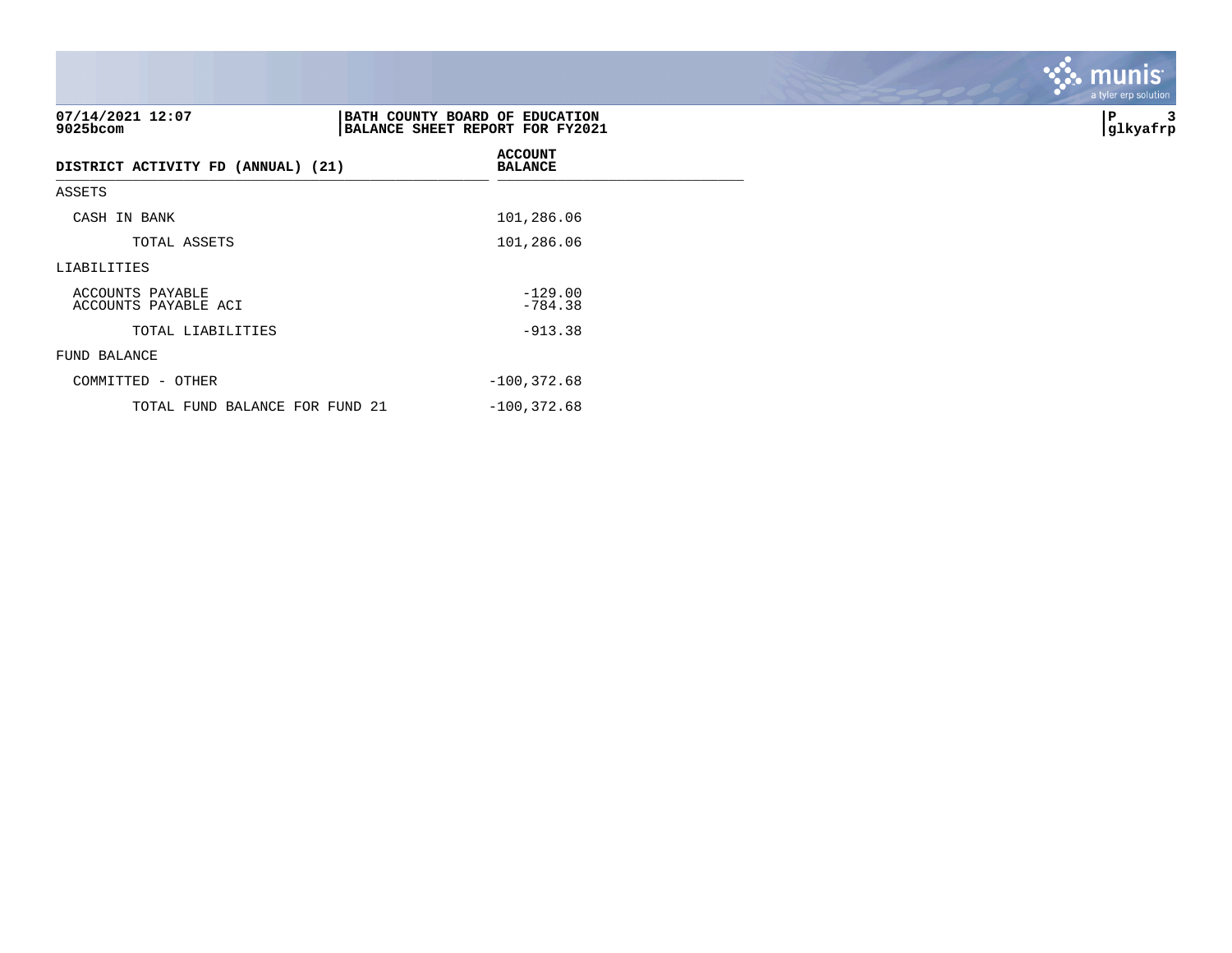| 07/14/2021 12:07<br>9025bcom             | BATH COUNTY BOARD OF EDUCATION<br>BALANCE SHEET REPORT FOR FY2021 | ∣P<br> glkyafrp |
|------------------------------------------|-------------------------------------------------------------------|-----------------|
| DISTRICT ACTIVITY FD (ANNUAL) (21)       | <b>ACCOUNT</b><br><b>BALANCE</b>                                  |                 |
| ASSETS                                   |                                                                   |                 |
| CASH IN BANK                             | 101,286.06                                                        |                 |
| TOTAL ASSETS                             | 101,286.06                                                        |                 |
| LIABILITIES                              |                                                                   |                 |
| ACCOUNTS PAYABLE<br>ACCOUNTS PAYABLE ACI | $-129.00$<br>$-784.38$                                            |                 |
| TOTAL LIABILITIES                        | $-913.38$                                                         |                 |
| FUND BALANCE                             |                                                                   |                 |
| COMMITTED - OTHER                        | $-100, 372.68$                                                    |                 |
| TOTAL FUND BALANCE FOR FUND 21           | $-100, 372.68$                                                    |                 |

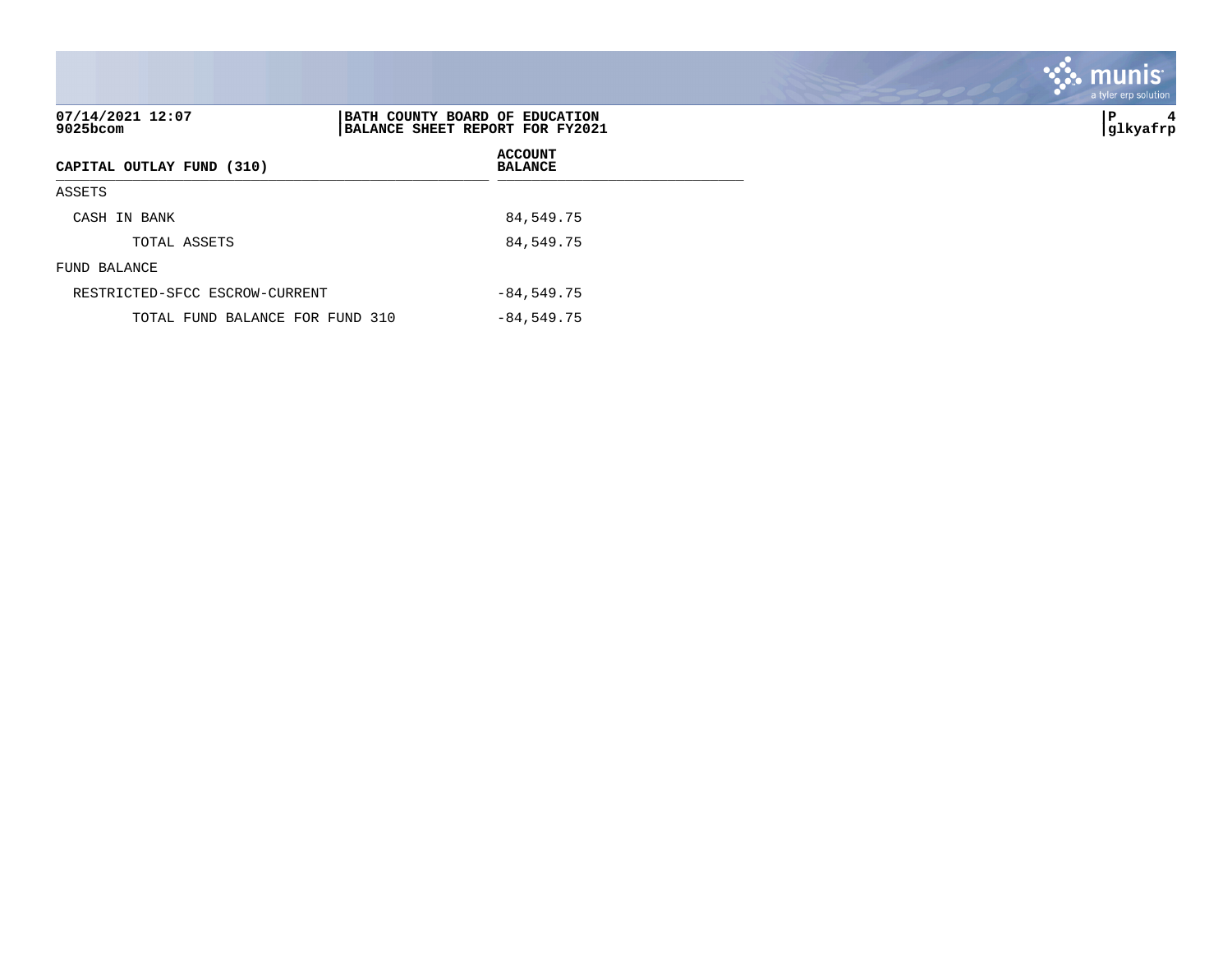| 07/14/2021 12:07<br>$9025$ bcom | BATH COUNTY BOARD OF EDUCATION<br>BALANCE SHEET REPORT FOR FY2021 | l P<br>4<br> glkyafrp |
|---------------------------------|-------------------------------------------------------------------|-----------------------|
| CAPITAL OUTLAY FUND (310)       | <b>ACCOUNT</b><br><b>BALANCE</b>                                  |                       |
| ASSETS                          |                                                                   |                       |
| CASH IN BANK                    | 84,549.75                                                         |                       |
| TOTAL ASSETS                    | 84,549.75                                                         |                       |
| FUND BALANCE                    |                                                                   |                       |
| RESTRICTED-SFCC ESCROW-CURRENT  | $-84,549.75$                                                      |                       |
| TOTAL FUND BALANCE FOR FUND 310 | $-84,549.75$                                                      |                       |

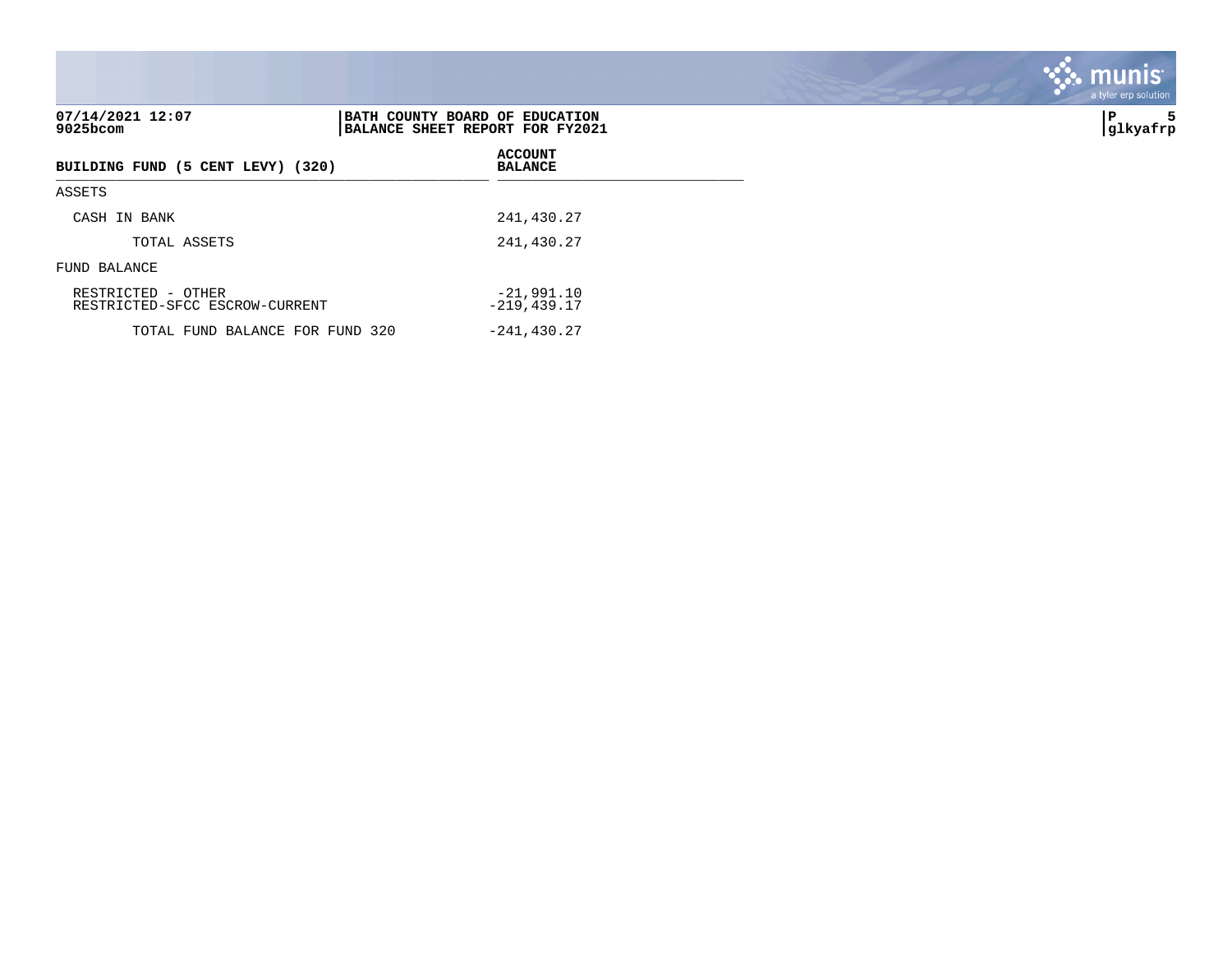| 07/14/2021 12:07<br>$9025$ bcom                      | BATH COUNTY BOARD OF EDUCATION<br>BALANCE SHEET REPORT FOR FY2021 | 5<br>∣P<br> glkyafrp |
|------------------------------------------------------|-------------------------------------------------------------------|----------------------|
| BUILDING FUND (5 CENT LEVY) (320)                    | <b>ACCOUNT</b><br><b>BALANCE</b>                                  |                      |
| ASSETS                                               |                                                                   |                      |
| CASH IN BANK                                         | 241,430.27                                                        |                      |
| TOTAL ASSETS                                         | 241,430.27                                                        |                      |
| FUND BALANCE                                         |                                                                   |                      |
| RESTRICTED - OTHER<br>RESTRICTED-SFCC ESCROW-CURRENT | $-21,991,10$<br>$-219, 439.17$                                    |                      |
| TOTAL FUND BALANCE FOR FUND 320                      | $-241, 430.27$                                                    |                      |

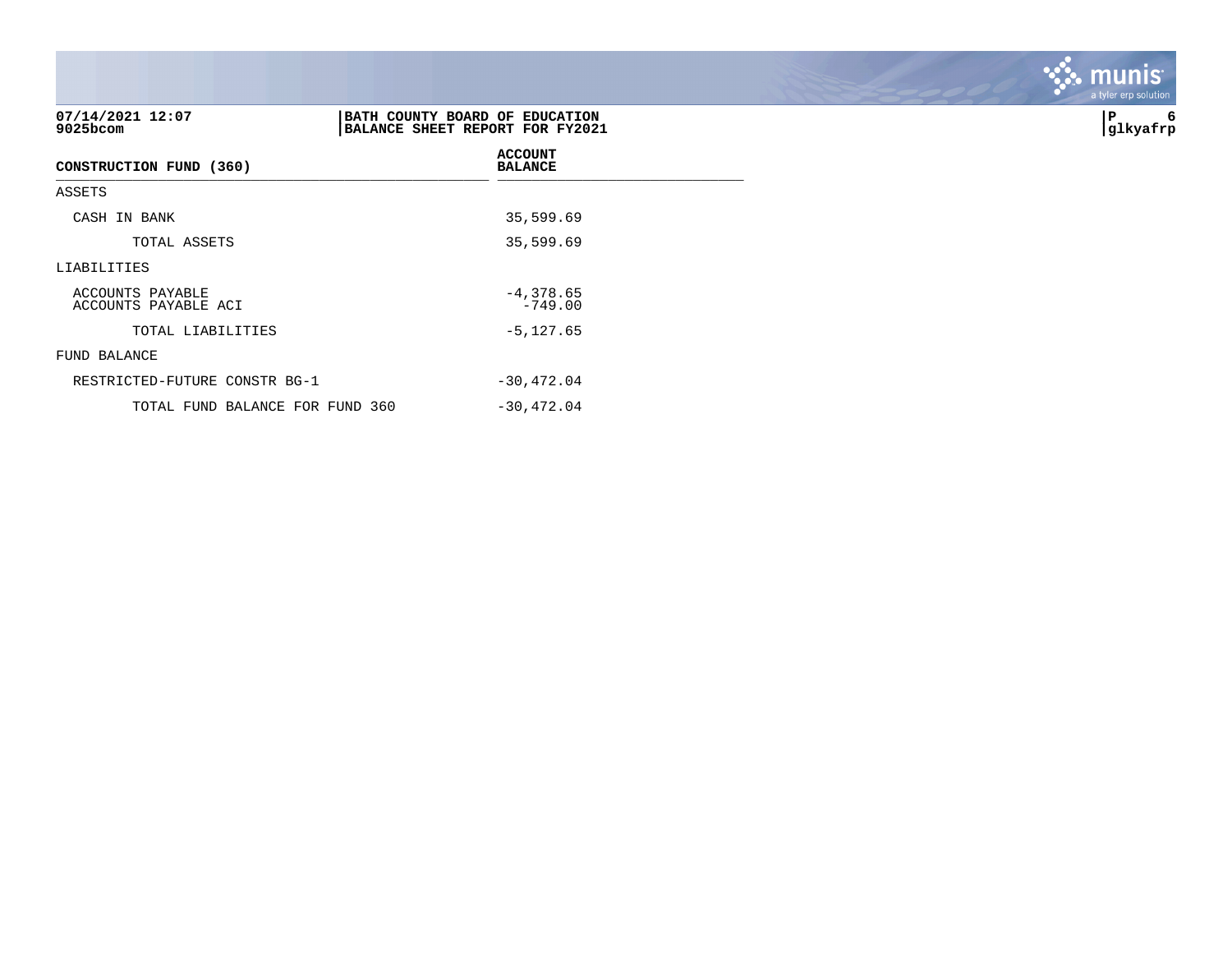| 07/14/2021 12:07<br>9025bcom             | BATH COUNTY BOARD OF EDUCATION<br>BALANCE SHEET REPORT FOR FY2021 | 6<br>İΡ<br> glkyafrp |
|------------------------------------------|-------------------------------------------------------------------|----------------------|
| CONSTRUCTION FUND (360)                  | <b>ACCOUNT</b><br><b>BALANCE</b>                                  |                      |
| ASSETS                                   |                                                                   |                      |
| CASH IN BANK                             | 35,599.69                                                         |                      |
| TOTAL ASSETS                             | 35,599.69                                                         |                      |
| LIABILITIES                              |                                                                   |                      |
| ACCOUNTS PAYABLE<br>ACCOUNTS PAYABLE ACI | $-4,378.65$<br>$-749.00$                                          |                      |
| TOTAL LIABILITIES                        | $-5, 127.65$                                                      |                      |
| FUND BALANCE                             |                                                                   |                      |
| RESTRICTED-FUTURE CONSTR BG-1            | $-30,472.04$                                                      |                      |
| TOTAL FUND BALANCE FOR FUND 360          | $-30,472.04$                                                      |                      |

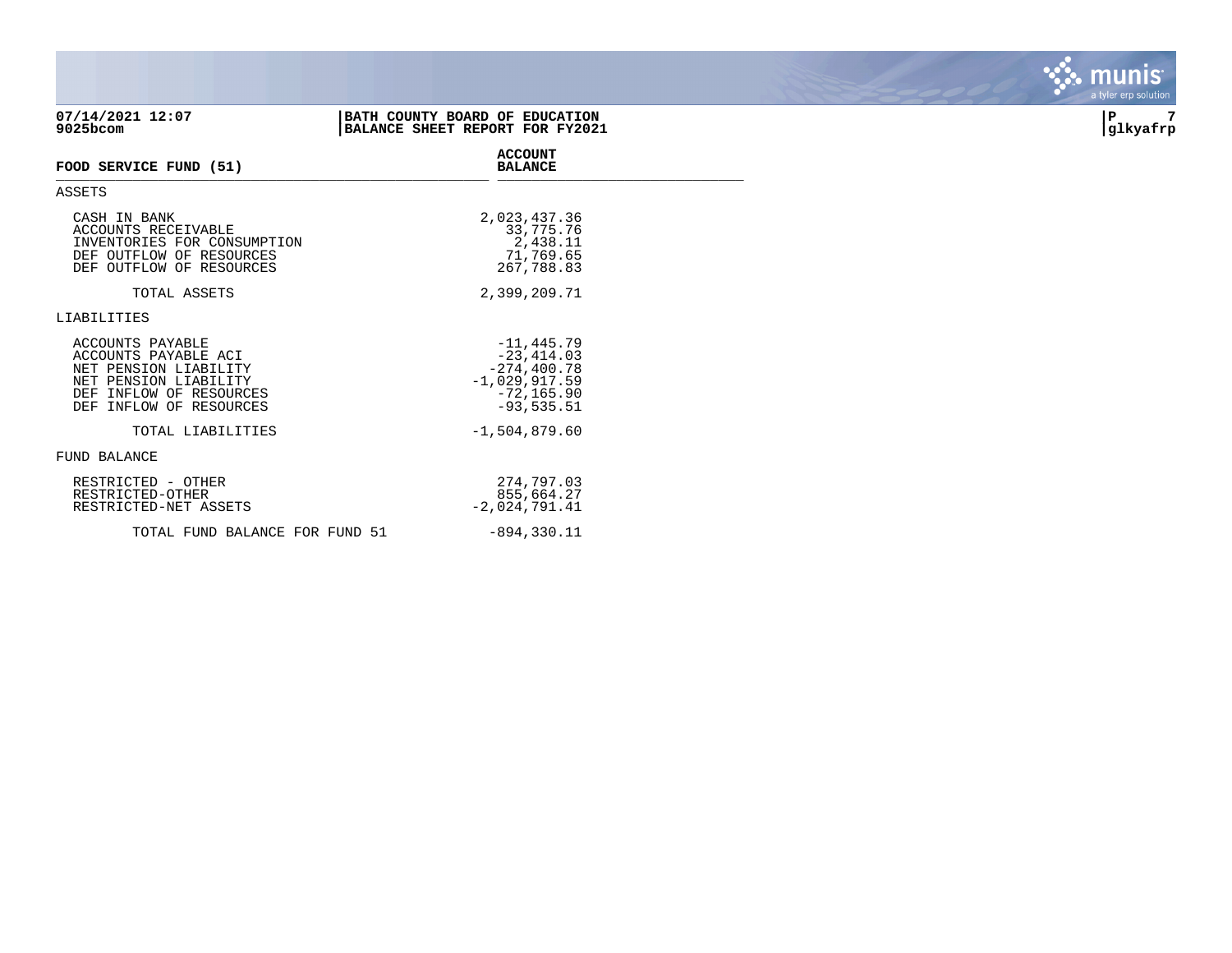| 07/14/2021 12:07<br>9025bcom                                                                                                                        | BATH COUNTY BOARD OF EDUCATION<br>BALANCE SHEET REPORT FOR FY2021                                     | 7<br>P<br> glkyafrp |
|-----------------------------------------------------------------------------------------------------------------------------------------------------|-------------------------------------------------------------------------------------------------------|---------------------|
| FOOD SERVICE FUND (51)                                                                                                                              | <b>ACCOUNT</b><br><b>BALANCE</b>                                                                      |                     |
| <b>ASSETS</b>                                                                                                                                       |                                                                                                       |                     |
| CASH IN BANK<br>ACCOUNTS RECEIVABLE<br>INVENTORIES FOR CONSUMPTION<br>DEF OUTFLOW OF RESOURCES<br>DEF OUTFLOW OF RESOURCES                          | 2,023,437.36<br>33,775.76<br>2,438.11<br>71,769.65<br>267,788.83                                      |                     |
| TOTAL ASSETS                                                                                                                                        | 2,399,209.71                                                                                          |                     |
| LIABILITIES                                                                                                                                         |                                                                                                       |                     |
| ACCOUNTS PAYABLE<br>ACCOUNTS PAYABLE ACI<br>NET PENSION LIABILITY<br>NET PENSION LIABILITY<br>DEF INFLOW OF RESOURCES<br>INFLOW OF RESOURCES<br>DEF | $-11, 445.79$<br>$-23, 414.03$<br>$-274, 400.78$<br>$-1,029,917.59$<br>$-72, 165.90$<br>$-93, 535.51$ |                     |
| TOTAL LIABILITIES                                                                                                                                   | $-1,504,879.60$                                                                                       |                     |
| FUND BALANCE                                                                                                                                        |                                                                                                       |                     |
| RESTRICTED - OTHER<br>RESTRICTED-OTHER<br>RESTRICTED-NET ASSETS                                                                                     | 274,797.03<br>855,664.27<br>$-2,024,791.41$                                                           |                     |
| TOTAL FUND BALANCE FOR FUND 51                                                                                                                      | $-894, 330.11$                                                                                        |                     |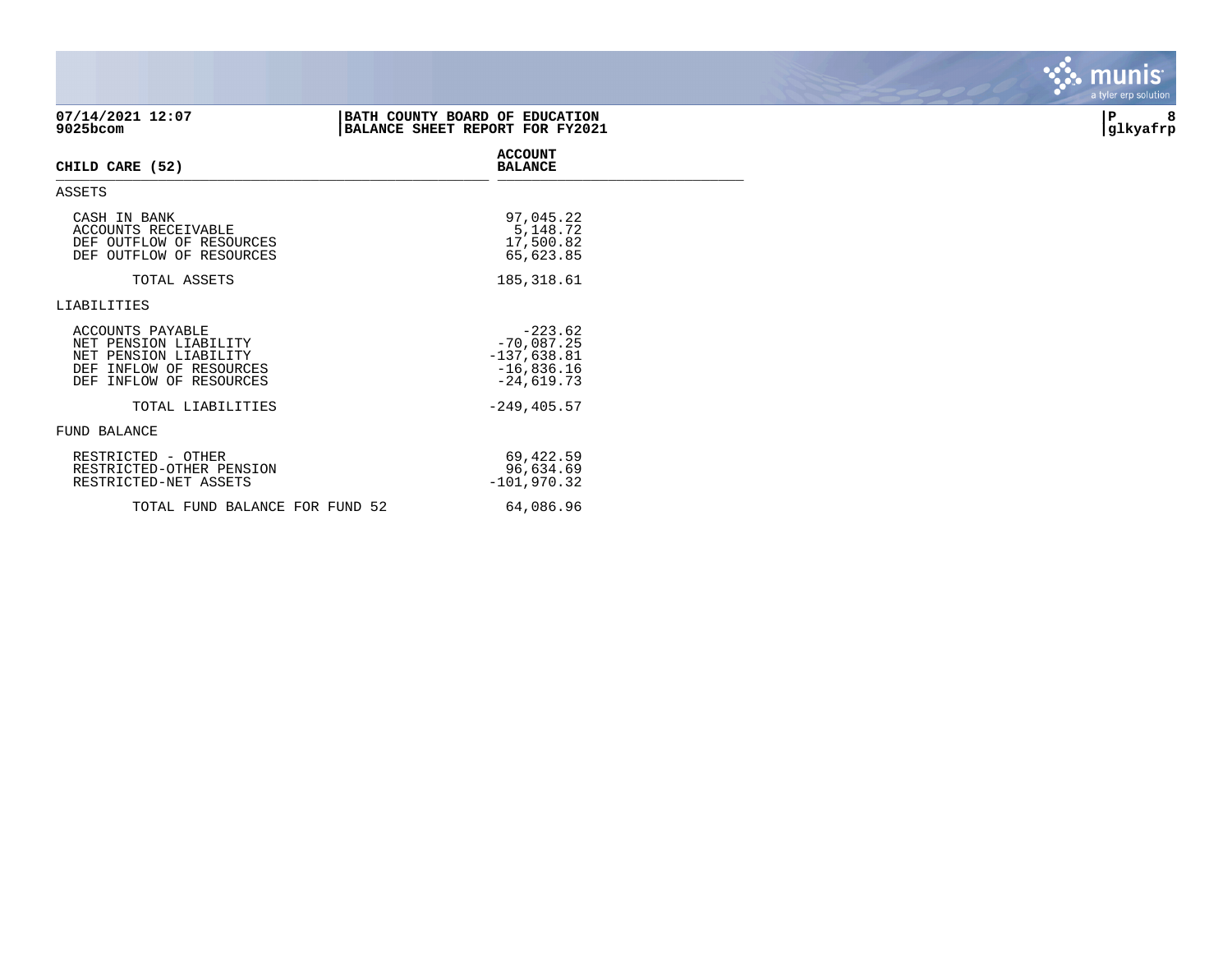| 07/14/2021 12:07<br>9025bcom                                                                                             | BATH COUNTY BOARD OF EDUCATION<br>BALANCE SHEET REPORT FOR FY2021          | 8<br>∣P<br>glkyafrp |
|--------------------------------------------------------------------------------------------------------------------------|----------------------------------------------------------------------------|---------------------|
| CHILD CARE (52)                                                                                                          | <b>ACCOUNT</b><br><b>BALANCE</b>                                           |                     |
| ASSETS                                                                                                                   |                                                                            |                     |
| CASH IN BANK<br>ACCOUNTS RECEIVABLE<br>DEF OUTFLOW OF RESOURCES<br>DEF OUTFLOW OF RESOURCES                              | 97,045.22<br>5,148.72<br>17,500.82<br>65,623.85                            |                     |
| TOTAL ASSETS                                                                                                             | 185, 318.61                                                                |                     |
| LIABILITIES                                                                                                              |                                                                            |                     |
| ACCOUNTS PAYABLE<br>NET PENSION LIABILITY<br>NET PENSION LIABILITY<br>DEF INFLOW OF RESOURCES<br>DEF INFLOW OF RESOURCES | $-223.62$<br>$-70,087.25$<br>$-137,638.81$<br>$-16,836.16$<br>$-24,619.73$ |                     |
| TOTAL LIABILITIES                                                                                                        | $-249, 405.57$                                                             |                     |
| FUND BALANCE                                                                                                             |                                                                            |                     |
| RESTRICTED - OTHER<br>RESTRICTED-OTHER PENSION<br>RESTRICTED-NET ASSETS                                                  | 69,422.59<br>96,634.69<br>$-101,970.32$                                    |                     |
| TOTAL FUND BALANCE FOR FUND 52                                                                                           | 64,086.96                                                                  |                     |

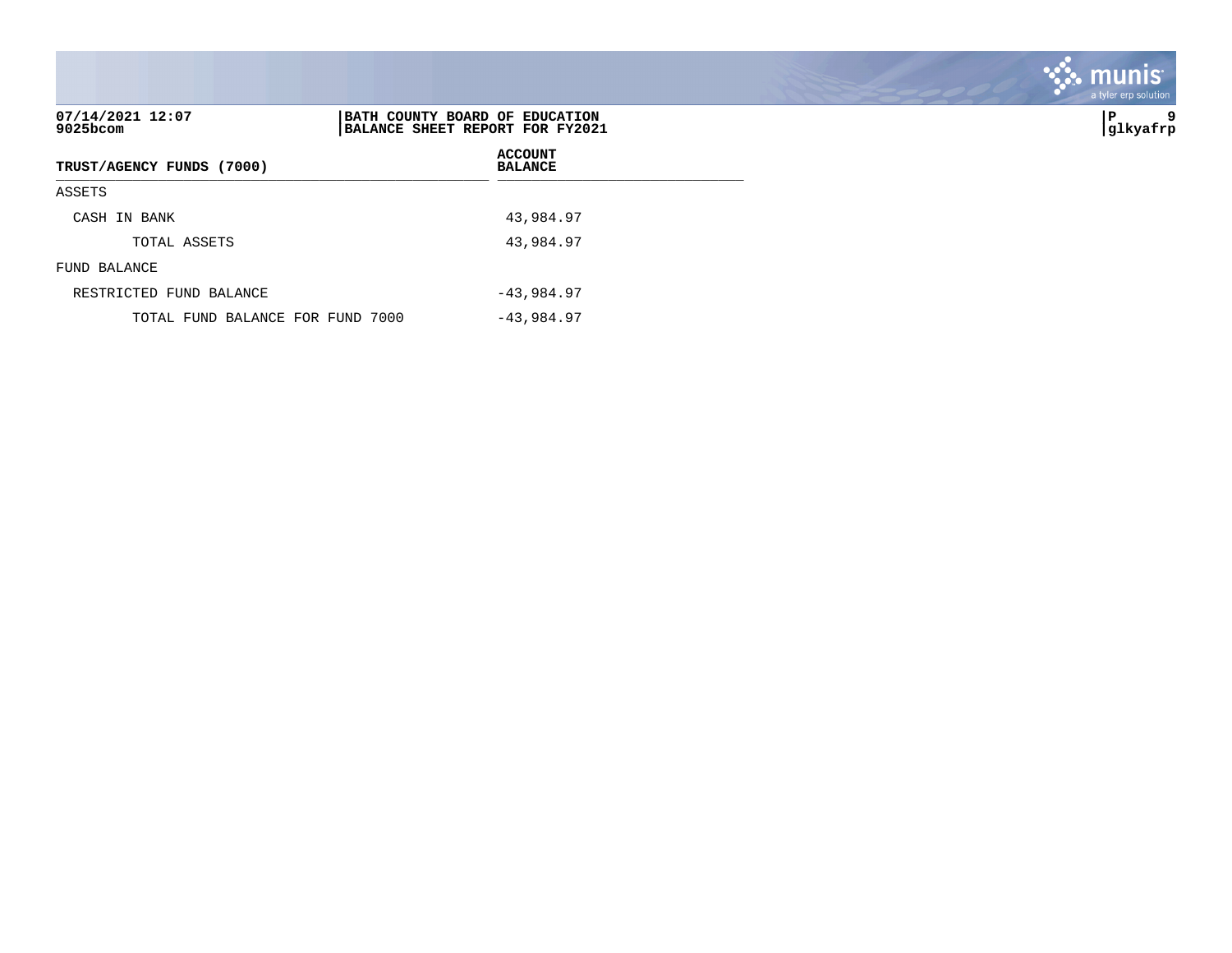| 07/14/2021 12:07<br>$9025$ bcom  | BATH COUNTY BOARD OF EDUCATION<br>BALANCE SHEET REPORT FOR FY2021 | 9<br>∣P<br> glkyafrp |
|----------------------------------|-------------------------------------------------------------------|----------------------|
| TRUST/AGENCY FUNDS (7000)        | <b>ACCOUNT</b><br><b>BALANCE</b>                                  |                      |
| ASSETS                           |                                                                   |                      |
| CASH IN BANK                     | 43,984.97                                                         |                      |
| TOTAL ASSETS                     | 43,984.97                                                         |                      |
| FUND BALANCE                     |                                                                   |                      |
| RESTRICTED FUND BALANCE          | $-43,984.97$                                                      |                      |
| TOTAL FUND BALANCE FOR FUND 7000 | $-43,984.97$                                                      |                      |

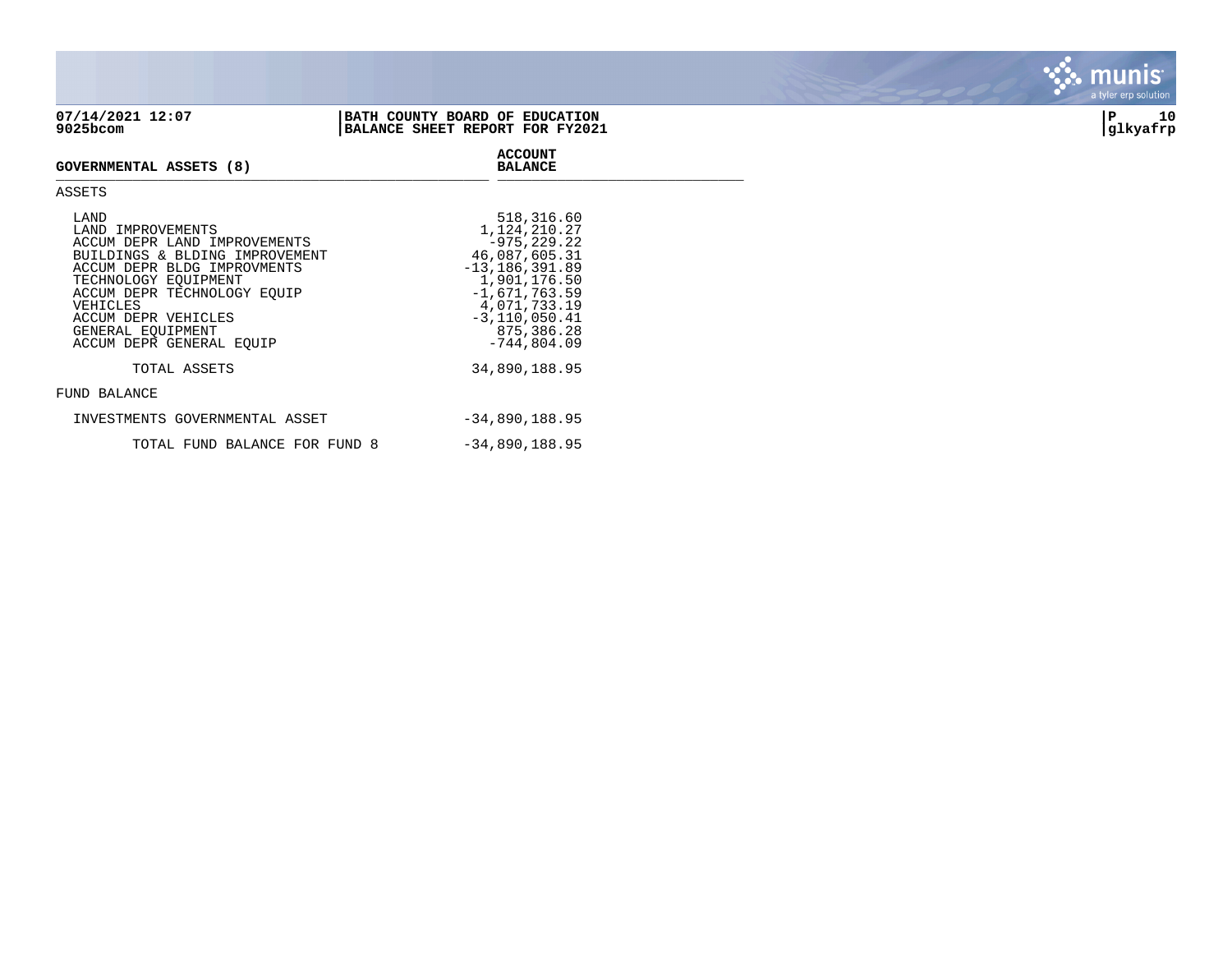| 07/14/2021 12:07<br>9025bcom                                                                                               | BATH COUNTY BOARD OF EDUCATION<br>BALANCE SHEET REPORT FOR FY2021              | 10<br>∣P<br> glkyafrp |
|----------------------------------------------------------------------------------------------------------------------------|--------------------------------------------------------------------------------|-----------------------|
| <b>GOVERNMENTAL ASSETS (8)</b>                                                                                             | <b>ACCOUNT</b><br><b>BALANCE</b>                                               |                       |
| ASSETS                                                                                                                     |                                                                                |                       |
| LAND<br>LAND IMPROVEMENTS<br>ACCUM DEPR LAND IMPROVEMENTS<br>BUILDINGS & BLDING IMPROVEMENT<br>ACCUM DEPR BLDG IMPROVMENTS | 518,316.60<br>1,124,210.27<br>-975,229.22<br>46,087,605.31<br>$-13$ 186 391 89 |                       |

ACCUM DEPR BLDG IMPROVMENTS -13,186,391.89 TECHNOLOGY EQUIPMENT ACCUM DEPR TECHNOLOGY EQUIP<br>VEHICLES VEHICLES 4,071,733.19 ACCUM DEPR VEHICLES GENERAL EQUIPMENT ACCUM DEPR GENERAL EQUIP TOTAL ASSETS 34,890,188.95 FUND BALANCE INVESTMENTS GOVERNMENTAL ASSET -34,890,188.95

TOTAL FUND BALANCE FOR FUND 8 -34,890,188.95



. munis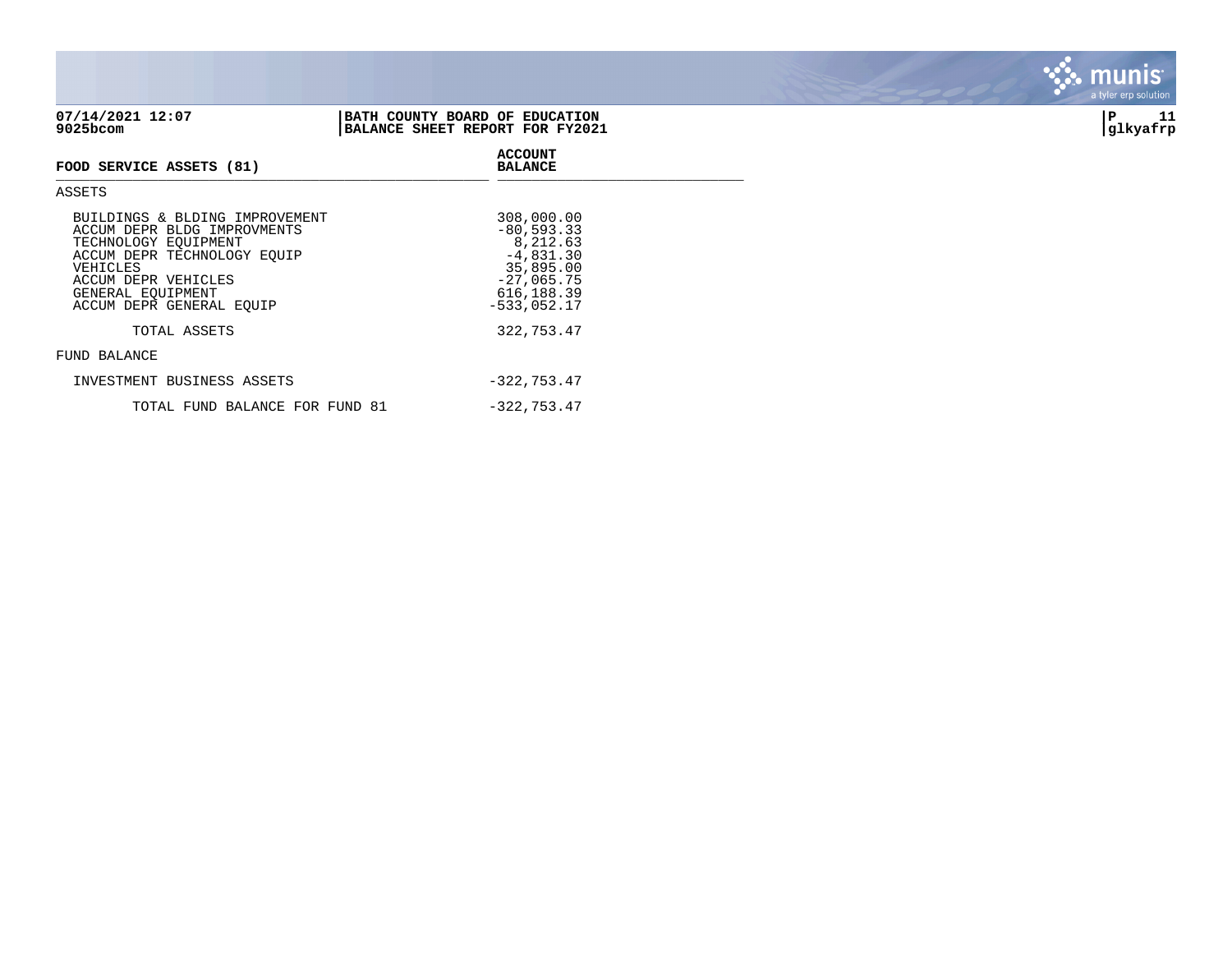| 07/14/2021 12:07<br>9025bcom | BATH COUNTY BOARD OF EDUCATION<br>BALANCE SHEET REPORT FOR FY2021 | 11<br> glkyafrp |
|------------------------------|-------------------------------------------------------------------|-----------------|
| FOOD SERVICE ASSETS (81)     | <b>ACCOUNT</b><br><b>BALANCE</b>                                  |                 |
| ASSETS                       |                                                                   |                 |

| 308,000.00     |
|----------------|
| $-80,593.33$   |
| 8,212.63       |
| $-4,831.30$    |
| 35,895.00      |
| $-27,065.75$   |
| 616, 188.39    |
| $-533,052.17$  |
|                |
| 322,753.47     |
|                |
|                |
| $-322, 753.47$ |
| $-322, 753.47$ |
|                |

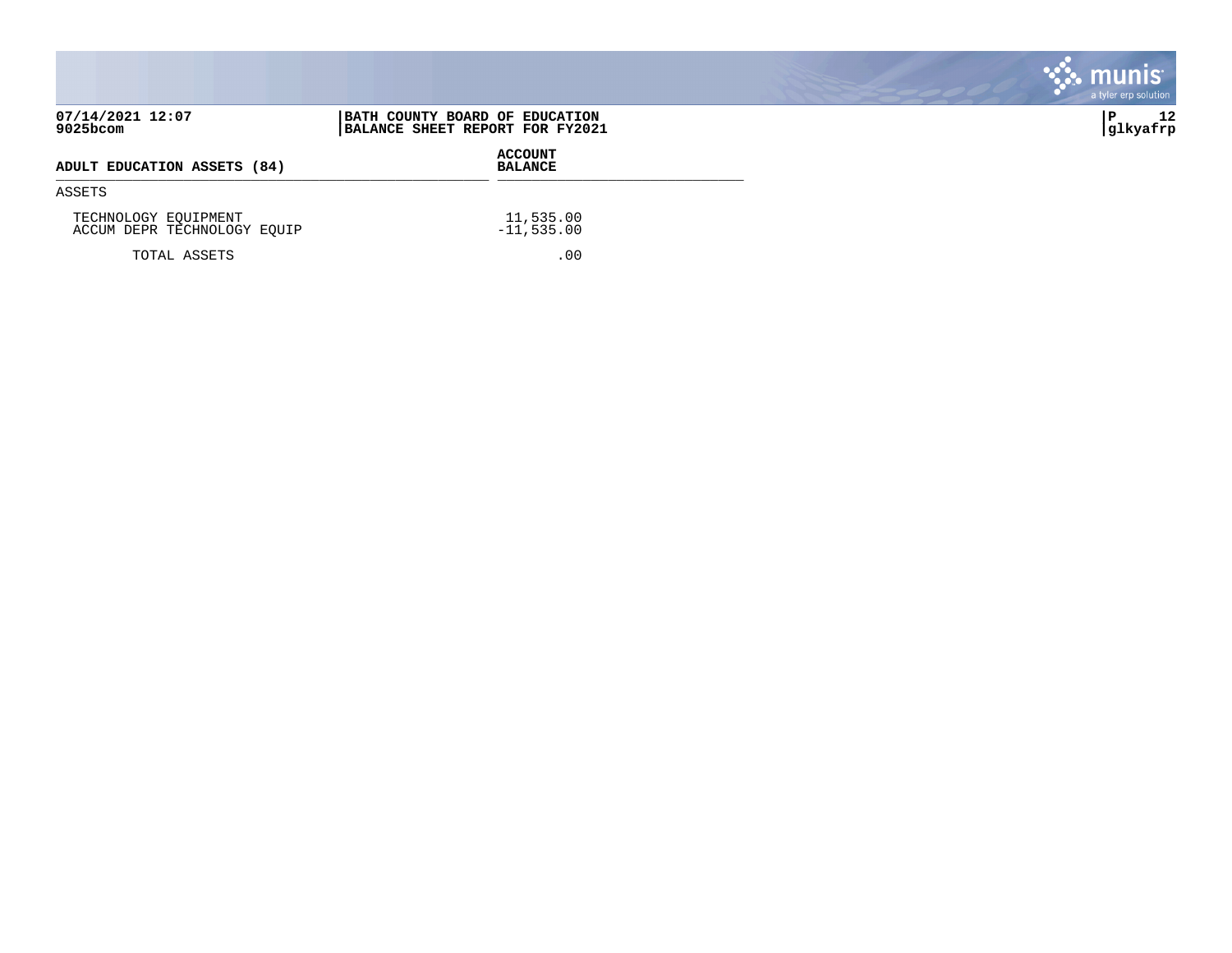|                                                     |                                                                   | k. munis <sup>.</sup><br>a tyler erp solution |
|-----------------------------------------------------|-------------------------------------------------------------------|-----------------------------------------------|
| 07/14/2021 12:07<br>9025bcom                        | BATH COUNTY BOARD OF EDUCATION<br>BALANCE SHEET REPORT FOR FY2021 | 12<br> glkyafrp                               |
| ADULT EDUCATION ASSETS (84)                         | <b>ACCOUNT</b><br><b>BALANCE</b>                                  |                                               |
| ASSETS                                              |                                                                   |                                               |
| TECHNOLOGY EQUIPMENT<br>ACCUM DEPR TECHNOLOGY EQUIP | 11,535.00<br>$-11,535.00$                                         |                                               |
| TOTAL ASSETS                                        | .00                                                               |                                               |